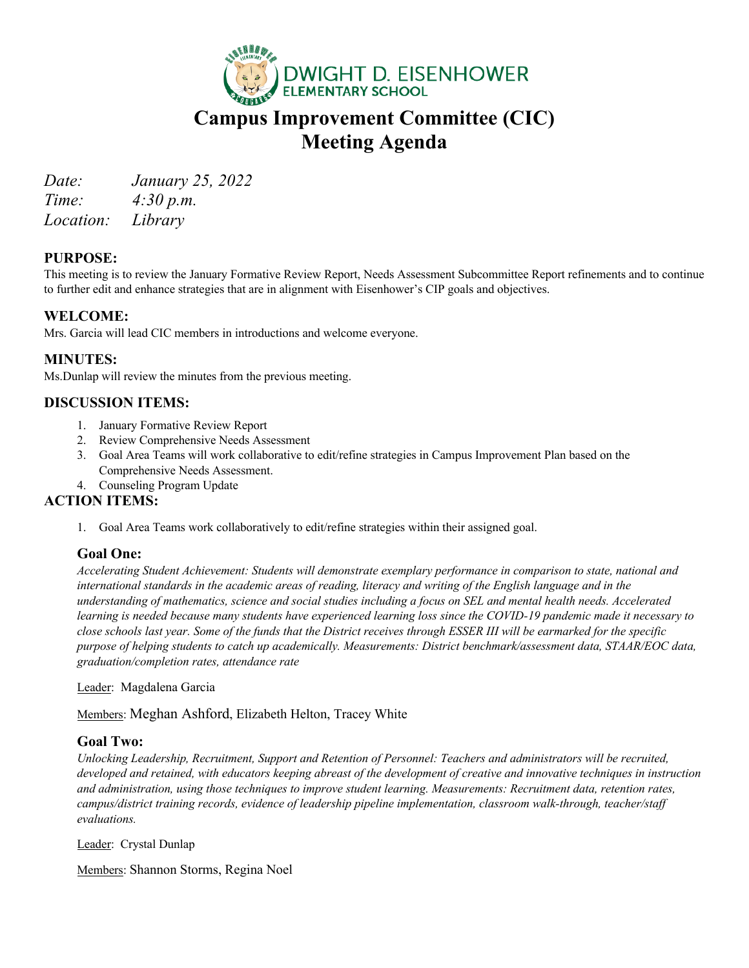

# **Campus Improvement Committee (CIC) Meeting Agenda**

*Date: January 25, 2022* 

*Time: 4:30 p.m. Location: Library*

## **PURPOSE:**

This meeting is to review the January Formative Review Report, Needs Assessment Subcommittee Report refinements and to continue to further edit and enhance strategies that are in alignment with Eisenhower's CIP goals and objectives.

## **WELCOME:**

Mrs. Garcia will lead CIC members in introductions and welcome everyone.

### **MINUTES:**

Ms.Dunlap will review the minutes from the previous meeting.

## **DISCUSSION ITEMS:**

- 1. January Formative Review Report
- 2. Review Comprehensive Needs Assessment
- 3. Goal Area Teams will work collaborative to edit/refine strategies in Campus Improvement Plan based on the Comprehensive Needs Assessment.
- 4. Counseling Program Update

#### **ACTION ITEMS:**

1. Goal Area Teams work collaboratively to edit/refine strategies within their assigned goal.

#### **Goal One:**

*Accelerating Student Achievement: Students will demonstrate exemplary performance in comparison to state, national and*  international standards in the academic areas of reading, literacy and writing of the English language and in the *understanding of mathematics, science and social studies including a focus on SEL and mental health needs. Accelerated learning is needed because many students have experienced learning loss since the COVID-19 pandemic made it necessary to close schools last year. Some of the funds that the District receives through ESSER III will be earmarked for the specific purpose of helping students to catch up academically. Measurements: District benchmark/assessment data, STAAR/EOC data, graduation/completion rates, attendance rate*

Leader: Magdalena Garcia

Members: Meghan Ashford, Elizabeth Helton, Tracey White

#### **Goal Two:**

*Unlocking Leadership, Recruitment, Support and Retention of Personnel: Teachers and administrators will be recruited, developed and retained, with educators keeping abreast of the development of creative and innovative techniques in instruction and administration, using those techniques to improve student learning. Measurements: Recruitment data, retention rates, campus/district training records, evidence of leadership pipeline implementation, classroom walk-through, teacher/staff evaluations.*

Leader: Crystal Dunlap

Members: Shannon Storms, Regina Noel